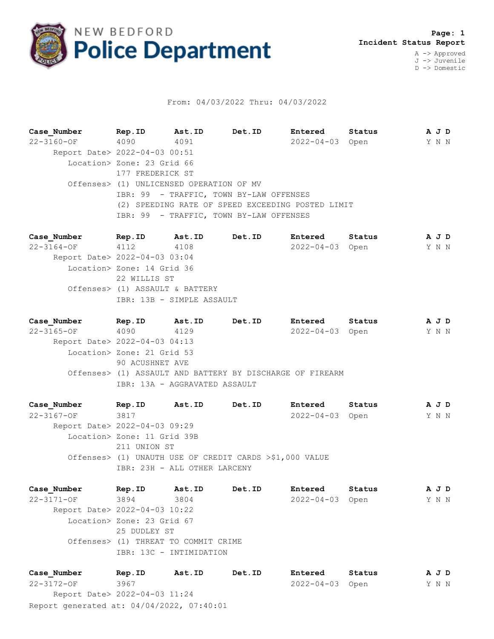

## From: 04/03/2022 Thru: 04/03/2022

**Case\_Number Rep.ID Ast.ID Det.ID Entered Status A J D** 22-3160-OF 4090 4091 2022-04-03 Open Y N N Report Date> 2022-04-03 00:51 Location> Zone: 23 Grid 66 177 FREDERICK ST Offenses> (1) UNLICENSED OPERATION OF MV IBR: 99 - TRAFFIC, TOWN BY-LAW OFFENSES (2) SPEEDING RATE OF SPEED EXCEEDING POSTED LIMIT IBR: 99 - TRAFFIC, TOWN BY-LAW OFFENSES

**Case\_Number Rep.ID Ast.ID Det.ID Entered Status A J D** 22-3164-OF 4112 4108 2022-04-03 Open Y N N Report Date> 2022-04-03 03:04 Location> Zone: 14 Grid 36 22 WILLIS ST Offenses> (1) ASSAULT & BATTERY IBR: 13B - SIMPLE ASSAULT

**Case\_Number Rep.ID Ast.ID Det.ID Entered Status A J D** 22-3165-OF 4090 4129 2022-04-03 Open Y N N Report Date> 2022-04-03 04:13 Location> Zone: 21 Grid 53 90 ACUSHNET AVE Offenses> (1) ASSAULT AND BATTERY BY DISCHARGE OF FIREARM IBR: 13A - AGGRAVATED ASSAULT

**Case\_Number Rep.ID Ast.ID Det.ID Entered Status A J D** 22-3167-OF 3817 2022-04-03 Open Y N N Report Date> 2022-04-03 09:29 Location> Zone: 11 Grid 39B 211 UNION ST Offenses> (1) UNAUTH USE OF CREDIT CARDS >\$1,000 VALUE IBR: 23H - ALL OTHER LARCENY

**Case\_Number Rep.ID Ast.ID Det.ID Entered Status A J D** 22-3171-OF 3894 3804 2022-04-03 Open Y N N Report Date> 2022-04-03 10:22 Location> Zone: 23 Grid 67 25 DUDLEY ST Offenses> (1) THREAT TO COMMIT CRIME IBR: 13C - INTIMIDATION

Report generated at: 04/04/2022, 07:40:01 **Case\_Number Rep.ID Ast.ID Det.ID Entered Status A J D** 22-3172-OF 3967 2022-04-03 Open Y N N Report Date> 2022-04-03 11:24